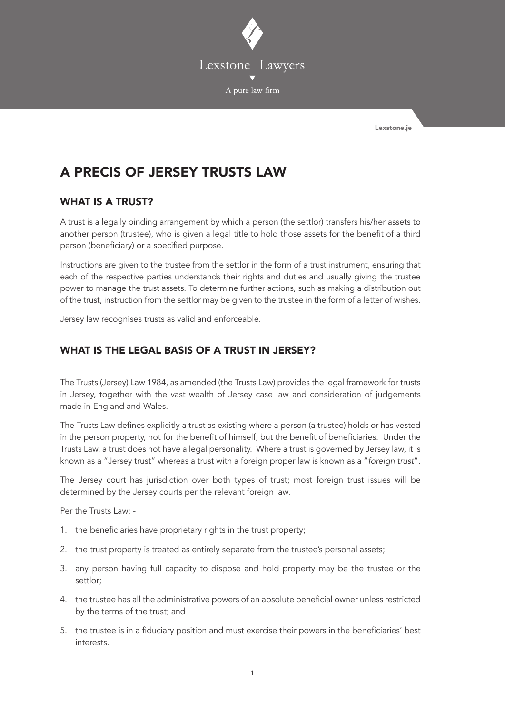

Lexstone.je

# A PRECIS OF JERSEY TRUSTS LAW

# WHAT IS A TRUST?

A trust is a legally binding arrangement by which a person (the settlor) transfers his/her assets to another person (trustee), who is given a legal title to hold those assets for the benefit of a third person (beneficiary) or a specified purpose.

Instructions are given to the trustee from the settlor in the form of a trust instrument, ensuring that each of the respective parties understands their rights and duties and usually giving the trustee power to manage the trust assets. To determine further actions, such as making a distribution out of the trust, instruction from the settlor may be given to the trustee in the form of a letter of wishes.

Jersey law recognises trusts as valid and enforceable.

# WHAT IS THE LEGAL BASIS OF A TRUST IN JERSEY?

The Trusts (Jersey) Law 1984, as amended (the Trusts Law) provides the legal framework for trusts in Jersey, together with the vast wealth of Jersey case law and consideration of judgements made in England and Wales.

The Trusts Law defines explicitly a trust as existing where a person (a trustee) holds or has vested in the person property, not for the benefit of himself, but the benefit of beneficiaries. Under the Trusts Law, a trust does not have a legal personality. Where a trust is governed by Jersey law, it is known as a "Jersey trust" whereas a trust with a foreign proper law is known as a "*foreign trust*".

The Jersey court has jurisdiction over both types of trust; most foreign trust issues will be determined by the Jersey courts per the relevant foreign law.

Per the Trusts Law: -

- 1. the beneficiaries have proprietary rights in the trust property;
- 2. the trust property is treated as entirely separate from the trustee's personal assets;
- 3. any person having full capacity to dispose and hold property may be the trustee or the settlor;
- 4. the trustee has all the administrative powers of an absolute beneficial owner unless restricted by the terms of the trust; and
- 5. the trustee is in a fiduciary position and must exercise their powers in the beneficiaries' best interests.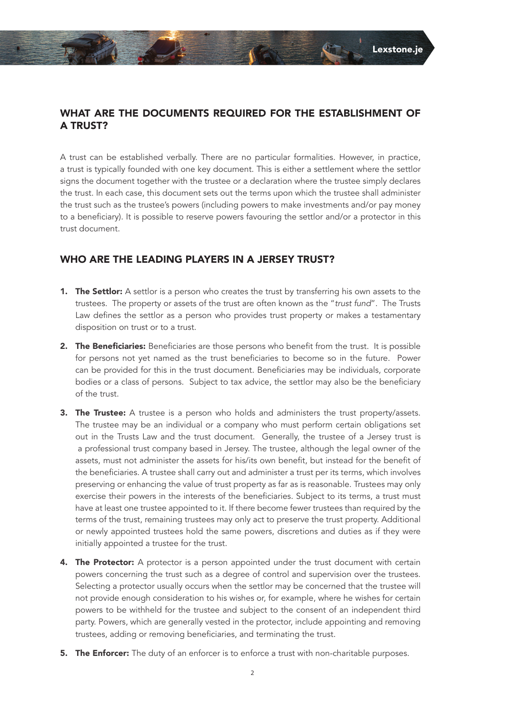# WHAT ARE THE DOCUMENTS REQUIRED FOR THE ESTABLISHMENT OF A TRUST?

A trust can be established verbally. There are no particular formalities. However, in practice, a trust is typically founded with one key document. This is either a settlement where the settlor signs the document together with the trustee or a declaration where the trustee simply declares the trust. In each case, this document sets out the terms upon which the trustee shall administer the trust such as the trustee's powers (including powers to make investments and/or pay money to a beneficiary). It is possible to reserve powers favouring the settlor and/or a protector in this trust document.

# WHO ARE THE LEADING PLAYERS IN A JERSEY TRUST?

- 1. The Settlor: A settlor is a person who creates the trust by transferring his own assets to the trustees. The property or assets of the trust are often known as the "*trust fund*". The Trusts Law defines the settlor as a person who provides trust property or makes a testamentary disposition on trust or to a trust.
- 2. The Beneficiaries: Beneficiaries are those persons who benefit from the trust. It is possible for persons not yet named as the trust beneficiaries to become so in the future. Power can be provided for this in the trust document. Beneficiaries may be individuals, corporate bodies or a class of persons. Subject to tax advice, the settlor may also be the beneficiary of the trust.
- 3. The Trustee: A trustee is a person who holds and administers the trust property/assets. The trustee may be an individual or a company who must perform certain obligations set out in the Trusts Law and the trust document. Generally, the trustee of a Jersey trust is a professional trust company based in Jersey. The trustee, although the legal owner of the assets, must not administer the assets for his/its own benefit, but instead for the benefit of the beneficiaries. A trustee shall carry out and administer a trust per its terms, which involves preserving or enhancing the value of trust property as far as is reasonable. Trustees may only exercise their powers in the interests of the beneficiaries. Subject to its terms, a trust must have at least one trustee appointed to it. If there become fewer trustees than required by the terms of the trust, remaining trustees may only act to preserve the trust property. Additional or newly appointed trustees hold the same powers, discretions and duties as if they were initially appointed a trustee for the trust.
- 4. The Protector: A protector is a person appointed under the trust document with certain powers concerning the trust such as a degree of control and supervision over the trustees. Selecting a protector usually occurs when the settlor may be concerned that the trustee will not provide enough consideration to his wishes or, for example, where he wishes for certain powers to be withheld for the trustee and subject to the consent of an independent third party. Powers, which are generally vested in the protector, include appointing and removing trustees, adding or removing beneficiaries, and terminating the trust.
- 5. The Enforcer: The duty of an enforcer is to enforce a trust with non-charitable purposes.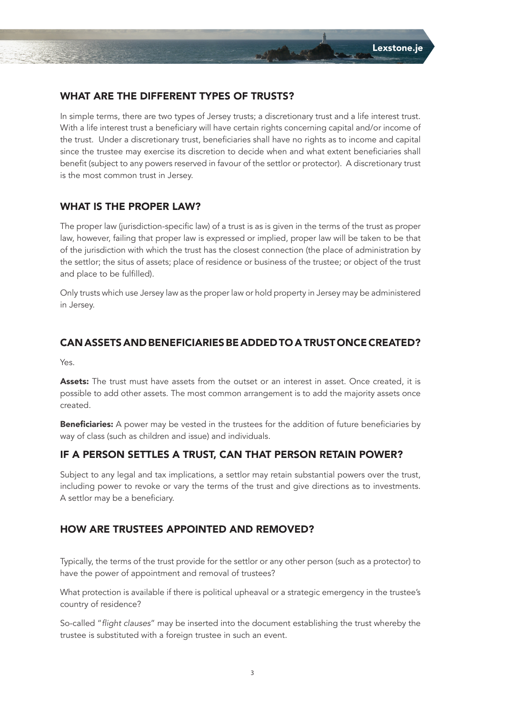#### WHAT ARE THE DIFFERENT TYPES OF TRUSTS?

In simple terms, there are two types of Jersey trusts; a discretionary trust and a life interest trust. With a life interest trust a beneficiary will have certain rights concerning capital and/or income of the trust. Under a discretionary trust, beneficiaries shall have no rights as to income and capital since the trustee may exercise its discretion to decide when and what extent beneficiaries shall benefit (subject to any powers reserved in favour of the settlor or protector). A discretionary trust is the most common trust in Jersey.

### WHAT IS THE PROPER LAW?

The proper law (jurisdiction-specific law) of a trust is as is given in the terms of the trust as proper law, however, failing that proper law is expressed or implied, proper law will be taken to be that of the jurisdiction with which the trust has the closest connection (the place of administration by the settlor; the situs of assets; place of residence or business of the trustee; or object of the trust and place to be fulfilled).

Only trusts which use Jersey law as the proper law or hold property in Jersey may be administered in Jersey.

#### CAN ASSETS AND BENEFICIARIES BE ADDED TO A TRUST ONCE CREATED?

Yes.

Assets: The trust must have assets from the outset or an interest in asset. Once created, it is possible to add other assets. The most common arrangement is to add the majority assets once created.

**Beneficiaries:** A power may be vested in the trustees for the addition of future beneficiaries by way of class (such as children and issue) and individuals.

#### IF A PERSON SETTLES A TRUST, CAN THAT PERSON RETAIN POWER?

Subject to any legal and tax implications, a settlor may retain substantial powers over the trust, including power to revoke or vary the terms of the trust and give directions as to investments. A settlor may be a beneficiary.

#### HOW ARE TRUSTEES APPOINTED AND REMOVED?

Typically, the terms of the trust provide for the settlor or any other person (such as a protector) to have the power of appointment and removal of trustees?

What protection is available if there is political upheaval or a strategic emergency in the trustee's country of residence?

So-called "flight clauses" may be inserted into the document establishing the trust whereby the trustee is substituted with a foreign trustee in such an event.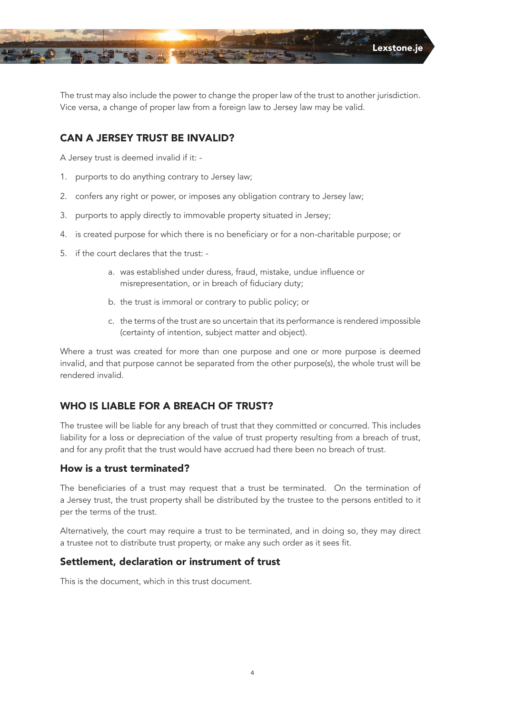

The trust may also include the power to change the proper law of the trust to another jurisdiction. Vice versa, a change of proper law from a foreign law to Jersey law may be valid.

# CAN A JERSEY TRUST BE INVALID?

A Jersey trust is deemed invalid if it: -

- 1. purports to do anything contrary to Jersey law;
- 2. confers any right or power, or imposes any obligation contrary to Jersey law;
- 3. purports to apply directly to immovable property situated in Jersey;
- 4. is created purpose for which there is no beneficiary or for a non-charitable purpose; or
- 5. if the court declares that the trust:
	- a. was established under duress, fraud, mistake, undue influence or misrepresentation, or in breach of fiduciary duty;
	- b. the trust is immoral or contrary to public policy; or
	- c. the terms of the trust are so uncertain that its performance is rendered impossible (certainty of intention, subject matter and object).

Where a trust was created for more than one purpose and one or more purpose is deemed invalid, and that purpose cannot be separated from the other purpose(s), the whole trust will be rendered invalid.

# WHO IS LIABLE FOR A BREACH OF TRUST?

The trustee will be liable for any breach of trust that they committed or concurred. This includes liability for a loss or depreciation of the value of trust property resulting from a breach of trust, and for any profit that the trust would have accrued had there been no breach of trust.

# How is a trust terminated?

The beneficiaries of a trust may request that a trust be terminated. On the termination of a Jersey trust, the trust property shall be distributed by the trustee to the persons entitled to it per the terms of the trust.

Alternatively, the court may require a trust to be terminated, and in doing so, they may direct a trustee not to distribute trust property, or make any such order as it sees fit.

# Settlement, declaration or instrument of trust

This is the document, which in this trust document.